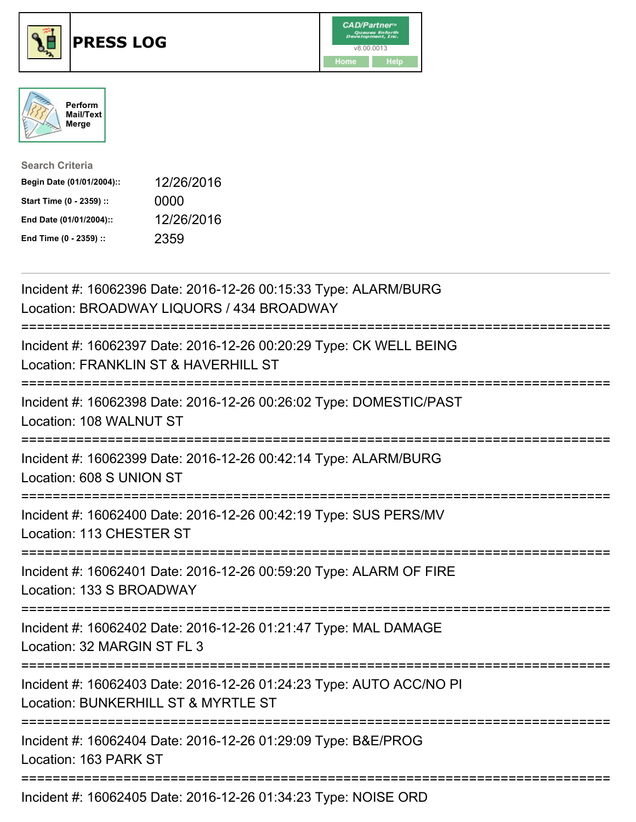





| <b>Search Criteria</b>    |            |
|---------------------------|------------|
| Begin Date (01/01/2004):: | 12/26/2016 |
| Start Time (0 - 2359) ::  | 0000       |
| End Date (01/01/2004)::   | 12/26/2016 |
| End Time (0 - 2359) ::    | 2359       |

| Incident #: 16062396 Date: 2016-12-26 00:15:33 Type: ALARM/BURG<br>Location: BROADWAY LIQUORS / 434 BROADWAY                              |
|-------------------------------------------------------------------------------------------------------------------------------------------|
| Incident #: 16062397 Date: 2016-12-26 00:20:29 Type: CK WELL BEING<br>Location: FRANKLIN ST & HAVERHILL ST                                |
| Incident #: 16062398 Date: 2016-12-26 00:26:02 Type: DOMESTIC/PAST<br>Location: 108 WALNUT ST                                             |
| Incident #: 16062399 Date: 2016-12-26 00:42:14 Type: ALARM/BURG<br>Location: 608 S UNION ST                                               |
| Incident #: 16062400 Date: 2016-12-26 00:42:19 Type: SUS PERS/MV<br>Location: 113 CHESTER ST                                              |
| Incident #: 16062401 Date: 2016-12-26 00:59:20 Type: ALARM OF FIRE<br>Location: 133 S BROADWAY<br>====================<br>=============== |
| Incident #: 16062402 Date: 2016-12-26 01:21:47 Type: MAL DAMAGE<br>Location: 32 MARGIN ST FL 3<br>-------------------                     |
| Incident #: 16062403 Date: 2016-12-26 01:24:23 Type: AUTO ACC/NO PI<br>Location: BUNKERHILL ST & MYRTLE ST<br>.-------------------------  |
| Incident #: 16062404 Date: 2016-12-26 01:29:09 Type: B&E/PROG<br>Location: 163 PARK ST                                                    |
| Incident #: 16062405 Date: 2016-12-26 01:34:23 Type: NOISE ORD                                                                            |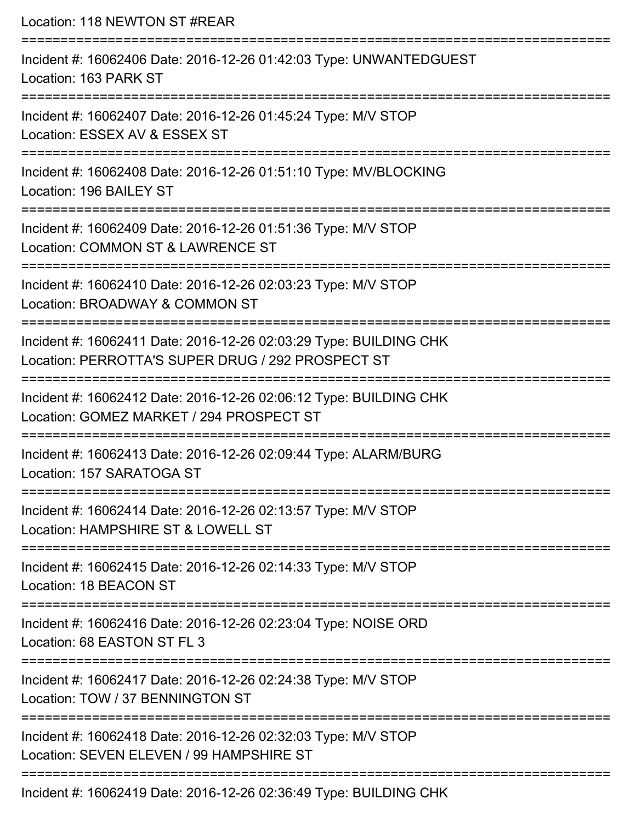Location: 118 NEWTON ST #REAR =========================================================================== Incident #: 16062406 Date: 2016-12-26 01:42:03 Type: UNWANTEDGUEST Location: 163 PARK ST =========================================================================== Incident #: 16062407 Date: 2016-12-26 01:45:24 Type: M/V STOP Location: ESSEX AV & ESSEX ST =========================================================================== Incident #: 16062408 Date: 2016-12-26 01:51:10 Type: MV/BLOCKING Location: 196 BAILEY ST =========================================================================== Incident #: 16062409 Date: 2016-12-26 01:51:36 Type: M/V STOP Location: COMMON ST & LAWRENCE ST =========================================================================== Incident #: 16062410 Date: 2016-12-26 02:03:23 Type: M/V STOP Location: BROADWAY & COMMON ST =========================================================================== Incident #: 16062411 Date: 2016-12-26 02:03:29 Type: BUILDING CHK Location: PERROTTA'S SUPER DRUG / 292 PROSPECT ST =========================================================================== Incident #: 16062412 Date: 2016-12-26 02:06:12 Type: BUILDING CHK Location: GOMEZ MARKET / 294 PROSPECT ST =========================================================================== Incident #: 16062413 Date: 2016-12-26 02:09:44 Type: ALARM/BURG Location: 157 SARATOGA ST =========================================================================== Incident #: 16062414 Date: 2016-12-26 02:13:57 Type: M/V STOP Location: HAMPSHIRF ST & LOWELL ST =========================================================================== Incident #: 16062415 Date: 2016-12-26 02:14:33 Type: M/V STOP Location: 18 BEACON ST =========================================================================== Incident #: 16062416 Date: 2016-12-26 02:23:04 Type: NOISE ORD Location: 68 FASTON ST FL 3 =========================================================================== Incident #: 16062417 Date: 2016-12-26 02:24:38 Type: M/V STOP Location: TOW / 37 BENNINGTON ST =========================================================================== Incident #: 16062418 Date: 2016-12-26 02:32:03 Type: M/V STOP Location: SEVEN ELEVEN / 99 HAMPSHIRE ST ===========================================================================

Incident #: 16062419 Date: 2016-12-26 02:36:49 Type: BUILDING CHK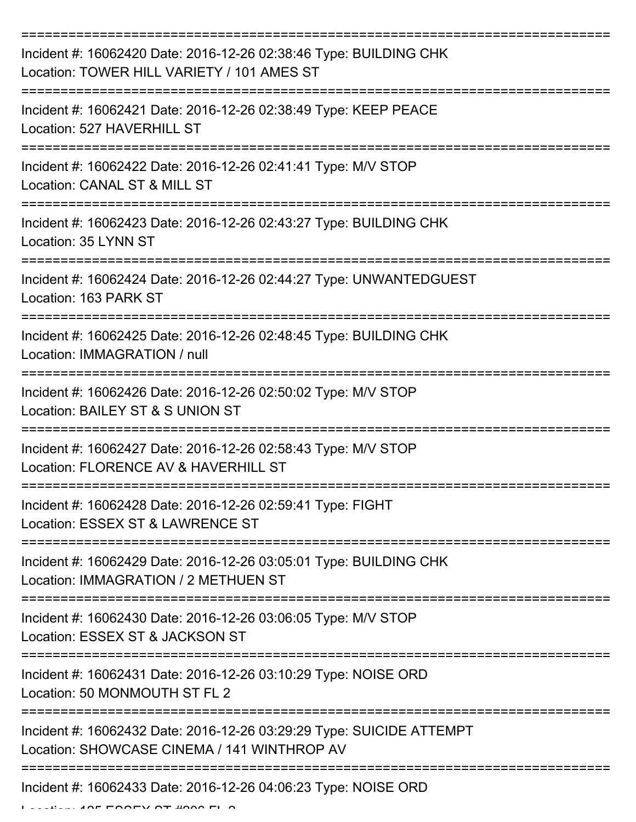| Incident #: 16062420 Date: 2016-12-26 02:38:46 Type: BUILDING CHK<br>Location: TOWER HILL VARIETY / 101 AMES ST     |
|---------------------------------------------------------------------------------------------------------------------|
| Incident #: 16062421 Date: 2016-12-26 02:38:49 Type: KEEP PEACE<br>Location: 527 HAVERHILL ST                       |
| Incident #: 16062422 Date: 2016-12-26 02:41:41 Type: M/V STOP<br>Location: CANAL ST & MILL ST                       |
| Incident #: 16062423 Date: 2016-12-26 02:43:27 Type: BUILDING CHK<br>Location: 35 LYNN ST                           |
| Incident #: 16062424 Date: 2016-12-26 02:44:27 Type: UNWANTEDGUEST<br>Location: 163 PARK ST                         |
| Incident #: 16062425 Date: 2016-12-26 02:48:45 Type: BUILDING CHK<br>Location: IMMAGRATION / null                   |
| Incident #: 16062426 Date: 2016-12-26 02:50:02 Type: M/V STOP<br>Location: BAILEY ST & S UNION ST                   |
| Incident #: 16062427 Date: 2016-12-26 02:58:43 Type: M/V STOP<br>Location: FLORENCE AV & HAVERHILL ST               |
| Incident #: 16062428 Date: 2016-12-26 02:59:41 Type: FIGHT<br>Location: ESSEX ST & LAWRENCE ST                      |
| Incident #: 16062429 Date: 2016-12-26 03:05:01 Type: BUILDING CHK<br>Location: IMMAGRATION / 2 METHUEN ST           |
| Incident #: 16062430 Date: 2016-12-26 03:06:05 Type: M/V STOP<br>Location: ESSEX ST & JACKSON ST                    |
| Incident #: 16062431 Date: 2016-12-26 03:10:29 Type: NOISE ORD<br>Location: 50 MONMOUTH ST FL 2                     |
| Incident #: 16062432 Date: 2016-12-26 03:29:29 Type: SUICIDE ATTEMPT<br>Location: SHOWCASE CINEMA / 141 WINTHROP AV |
| Incident #: 16062433 Date: 2016-12-26 04:06:23 Type: NOISE ORD                                                      |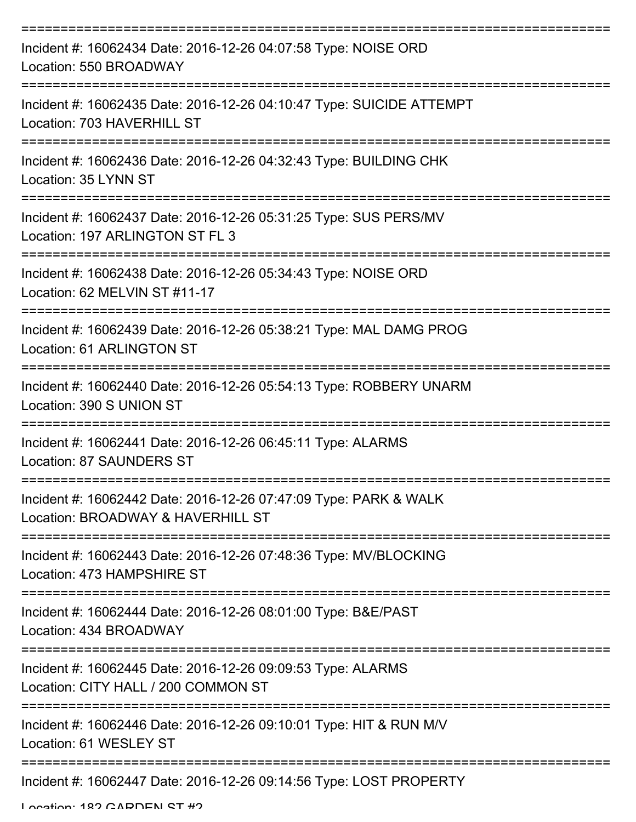| Incident #: 16062434 Date: 2016-12-26 04:07:58 Type: NOISE ORD<br>Location: 550 BROADWAY                          |
|-------------------------------------------------------------------------------------------------------------------|
| Incident #: 16062435 Date: 2016-12-26 04:10:47 Type: SUICIDE ATTEMPT<br>Location: 703 HAVERHILL ST                |
| Incident #: 16062436 Date: 2016-12-26 04:32:43 Type: BUILDING CHK<br>Location: 35 LYNN ST                         |
| Incident #: 16062437 Date: 2016-12-26 05:31:25 Type: SUS PERS/MV<br>Location: 197 ARLINGTON ST FL 3               |
| Incident #: 16062438 Date: 2016-12-26 05:34:43 Type: NOISE ORD<br>Location: 62 MELVIN ST #11-17                   |
| Incident #: 16062439 Date: 2016-12-26 05:38:21 Type: MAL DAMG PROG<br>Location: 61 ARLINGTON ST                   |
| Incident #: 16062440 Date: 2016-12-26 05:54:13 Type: ROBBERY UNARM<br>Location: 390 S UNION ST                    |
| ======================<br>Incident #: 16062441 Date: 2016-12-26 06:45:11 Type: ALARMS<br>Location: 87 SAUNDERS ST |
| Incident #: 16062442 Date: 2016-12-26 07:47:09 Type: PARK & WALK<br>Location: BROADWAY & HAVERHILL ST             |
| Incident #: 16062443 Date: 2016-12-26 07:48:36 Type: MV/BLOCKING<br>Location: 473 HAMPSHIRE ST                    |
| Incident #: 16062444 Date: 2016-12-26 08:01:00 Type: B&E/PAST<br>Location: 434 BROADWAY                           |
| Incident #: 16062445 Date: 2016-12-26 09:09:53 Type: ALARMS<br>Location: CITY HALL / 200 COMMON ST                |
| Incident #: 16062446 Date: 2016-12-26 09:10:01 Type: HIT & RUN M/V<br>Location: 61 WESLEY ST                      |
| Incident #: 16062447 Date: 2016-12-26 09:14:56 Type: LOST PROPERTY                                                |

Location: 182 CADDEN ST #2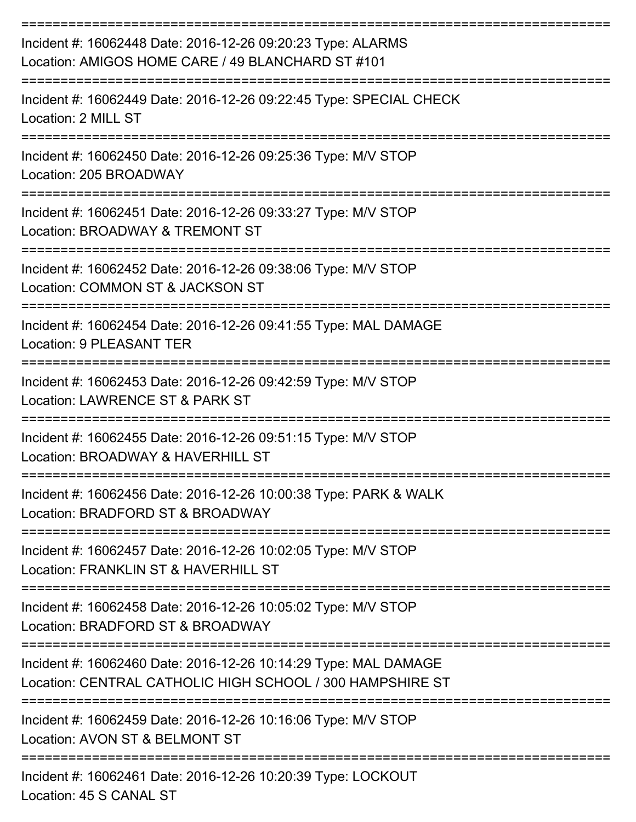| Incident #: 16062448 Date: 2016-12-26 09:20:23 Type: ALARMS<br>Location: AMIGOS HOME CARE / 49 BLANCHARD ST #101             |
|------------------------------------------------------------------------------------------------------------------------------|
| Incident #: 16062449 Date: 2016-12-26 09:22:45 Type: SPECIAL CHECK<br>Location: 2 MILL ST                                    |
| Incident #: 16062450 Date: 2016-12-26 09:25:36 Type: M/V STOP<br>Location: 205 BROADWAY                                      |
| Incident #: 16062451 Date: 2016-12-26 09:33:27 Type: M/V STOP<br>Location: BROADWAY & TREMONT ST                             |
| Incident #: 16062452 Date: 2016-12-26 09:38:06 Type: M/V STOP<br>Location: COMMON ST & JACKSON ST                            |
| Incident #: 16062454 Date: 2016-12-26 09:41:55 Type: MAL DAMAGE<br>Location: 9 PLEASANT TER                                  |
| Incident #: 16062453 Date: 2016-12-26 09:42:59 Type: M/V STOP<br>Location: LAWRENCE ST & PARK ST                             |
| Incident #: 16062455 Date: 2016-12-26 09:51:15 Type: M/V STOP<br>Location: BROADWAY & HAVERHILL ST                           |
| Incident #: 16062456 Date: 2016-12-26 10:00:38 Type: PARK & WALK<br>Location: BRADFORD ST & BROADWAY                         |
| Incident #: 16062457 Date: 2016-12-26 10:02:05 Type: M/V STOP<br>Location: FRANKLIN ST & HAVERHILL ST                        |
| Incident #: 16062458 Date: 2016-12-26 10:05:02 Type: M/V STOP<br>Location: BRADFORD ST & BROADWAY                            |
| Incident #: 16062460 Date: 2016-12-26 10:14:29 Type: MAL DAMAGE<br>Location: CENTRAL CATHOLIC HIGH SCHOOL / 300 HAMPSHIRE ST |
| Incident #: 16062459 Date: 2016-12-26 10:16:06 Type: M/V STOP<br>Location: AVON ST & BELMONT ST                              |
| Incident #: 16062461 Date: 2016-12-26 10:20:39 Type: LOCKOUT                                                                 |

Location: 45 S CANAL ST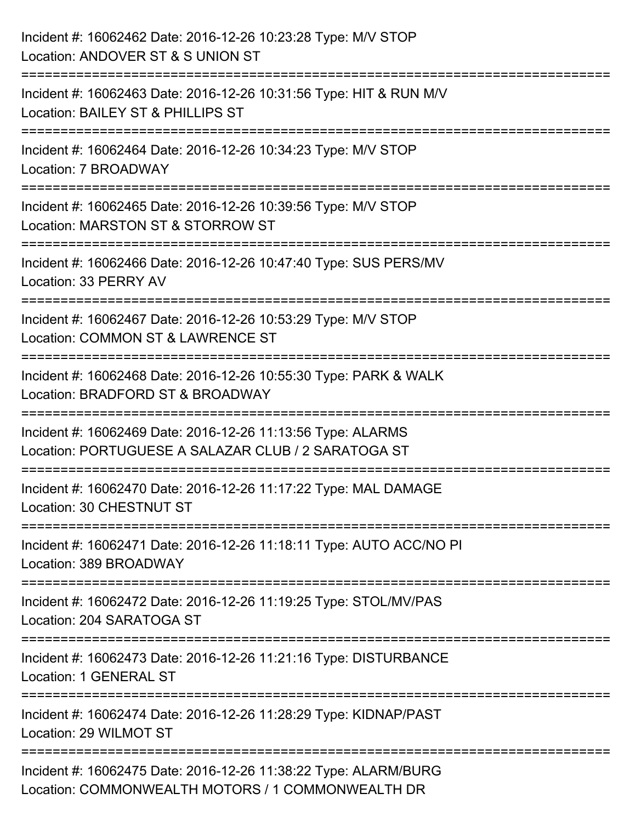| Incident #: 16062462 Date: 2016-12-26 10:23:28 Type: M/V STOP<br>Location: ANDOVER ST & S UNION ST                                 |
|------------------------------------------------------------------------------------------------------------------------------------|
| Incident #: 16062463 Date: 2016-12-26 10:31:56 Type: HIT & RUN M/V<br>Location: BAILEY ST & PHILLIPS ST                            |
| Incident #: 16062464 Date: 2016-12-26 10:34:23 Type: M/V STOP<br>Location: 7 BROADWAY<br>==================================        |
| Incident #: 16062465 Date: 2016-12-26 10:39:56 Type: M/V STOP<br>Location: MARSTON ST & STORROW ST                                 |
| Incident #: 16062466 Date: 2016-12-26 10:47:40 Type: SUS PERS/MV<br>Location: 33 PERRY AV<br>========================              |
| Incident #: 16062467 Date: 2016-12-26 10:53:29 Type: M/V STOP<br>Location: COMMON ST & LAWRENCE ST<br>:=========================== |
| Incident #: 16062468 Date: 2016-12-26 10:55:30 Type: PARK & WALK<br>Location: BRADFORD ST & BROADWAY                               |
| Incident #: 16062469 Date: 2016-12-26 11:13:56 Type: ALARMS<br>Location: PORTUGUESE A SALAZAR CLUB / 2 SARATOGA ST                 |
| Incident #: 16062470 Date: 2016-12-26 11:17:22 Type: MAL DAMAGE<br>Location: 30 CHESTNUT ST                                        |
| Incident #: 16062471 Date: 2016-12-26 11:18:11 Type: AUTO ACC/NO PI<br>Location: 389 BROADWAY                                      |
| Incident #: 16062472 Date: 2016-12-26 11:19:25 Type: STOL/MV/PAS<br>Location: 204 SARATOGA ST                                      |
| Incident #: 16062473 Date: 2016-12-26 11:21:16 Type: DISTURBANCE<br>Location: 1 GENERAL ST                                         |
| Incident #: 16062474 Date: 2016-12-26 11:28:29 Type: KIDNAP/PAST<br>Location: 29 WILMOT ST                                         |
| Incident #: 16062475 Date: 2016-12-26 11:38:22 Type: ALARM/BURG<br>Location: COMMONWEALTH MOTORS / 1 COMMONWEALTH DR               |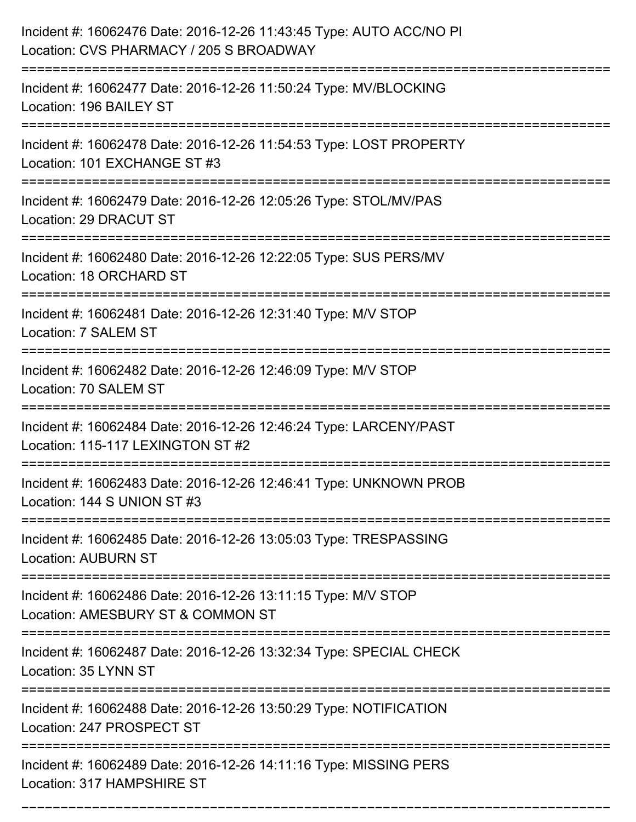| Incident #: 16062476 Date: 2016-12-26 11:43:45 Type: AUTO ACC/NO PI<br>Location: CVS PHARMACY / 205 S BROADWAY |
|----------------------------------------------------------------------------------------------------------------|
| Incident #: 16062477 Date: 2016-12-26 11:50:24 Type: MV/BLOCKING<br>Location: 196 BAILEY ST                    |
| Incident #: 16062478 Date: 2016-12-26 11:54:53 Type: LOST PROPERTY<br>Location: 101 EXCHANGE ST #3             |
| Incident #: 16062479 Date: 2016-12-26 12:05:26 Type: STOL/MV/PAS<br>Location: 29 DRACUT ST                     |
| Incident #: 16062480 Date: 2016-12-26 12:22:05 Type: SUS PERS/MV<br>Location: 18 ORCHARD ST                    |
| Incident #: 16062481 Date: 2016-12-26 12:31:40 Type: M/V STOP<br>Location: 7 SALEM ST                          |
| Incident #: 16062482 Date: 2016-12-26 12:46:09 Type: M/V STOP<br>Location: 70 SALEM ST                         |
| Incident #: 16062484 Date: 2016-12-26 12:46:24 Type: LARCENY/PAST<br>Location: 115-117 LEXINGTON ST #2         |
| Incident #: 16062483 Date: 2016-12-26 12:46:41 Type: UNKNOWN PROB<br>Location: 144 S UNION ST #3               |
| Incident #: 16062485 Date: 2016-12-26 13:05:03 Type: TRESPASSING<br><b>Location: AUBURN ST</b>                 |
| Incident #: 16062486 Date: 2016-12-26 13:11:15 Type: M/V STOP<br>Location: AMESBURY ST & COMMON ST             |
| Incident #: 16062487 Date: 2016-12-26 13:32:34 Type: SPECIAL CHECK<br>Location: 35 LYNN ST                     |
| Incident #: 16062488 Date: 2016-12-26 13:50:29 Type: NOTIFICATION<br>Location: 247 PROSPECT ST                 |
| Incident #: 16062489 Date: 2016-12-26 14:11:16 Type: MISSING PERS<br>Location: 317 HAMPSHIRE ST                |

===========================================================================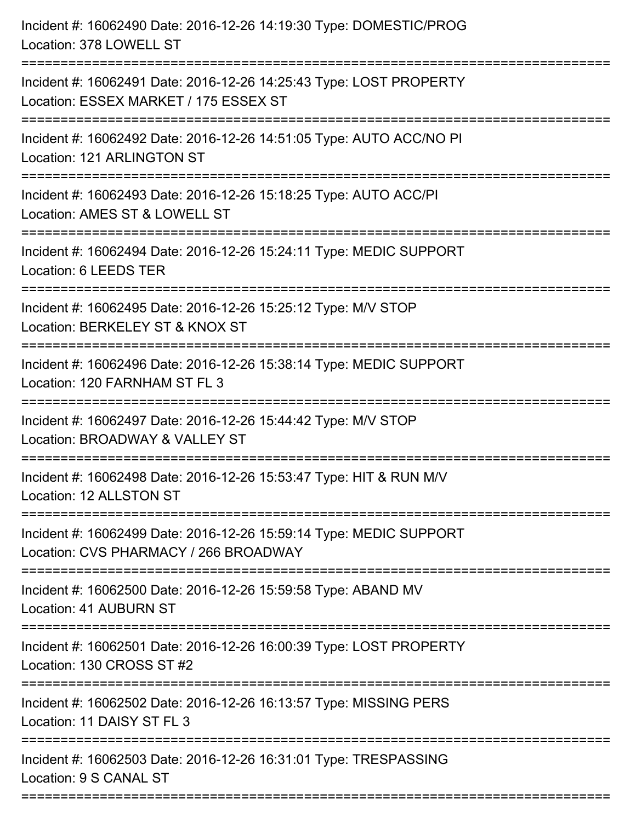| Incident #: 16062491 Date: 2016-12-26 14:25:43 Type: LOST PROPERTY<br>Location: ESSEX MARKET / 175 ESSEX ST<br>Incident #: 16062492 Date: 2016-12-26 14:51:05 Type: AUTO ACC/NO PI<br>Location: 121 ARLINGTON ST<br>=====================<br>Incident #: 16062493 Date: 2016-12-26 15:18:25 Type: AUTO ACC/PI<br>Location: AMES ST & LOWELL ST<br>Incident #: 16062494 Date: 2016-12-26 15:24:11 Type: MEDIC SUPPORT<br>Location: 6 LEEDS TER<br>Incident #: 16062495 Date: 2016-12-26 15:25:12 Type: M/V STOP<br>Location: BERKELEY ST & KNOX ST<br>Incident #: 16062496 Date: 2016-12-26 15:38:14 Type: MEDIC SUPPORT<br>Location: 120 FARNHAM ST FL 3<br>Incident #: 16062497 Date: 2016-12-26 15:44:42 Type: M/V STOP<br>Location: BROADWAY & VALLEY ST<br>Incident #: 16062498 Date: 2016-12-26 15:53:47 Type: HIT & RUN M/V<br>Location: 12 ALLSTON ST<br>Incident #: 16062499 Date: 2016-12-26 15:59:14 Type: MEDIC SUPPORT<br>Location: CVS PHARMACY / 266 BROADWAY<br>Incident #: 16062500 Date: 2016-12-26 15:59:58 Type: ABAND MV<br>Location: 41 AUBURN ST<br>Incident #: 16062501 Date: 2016-12-26 16:00:39 Type: LOST PROPERTY<br>Location: 130 CROSS ST #2<br>-----------------------------------<br>Incident #: 16062502 Date: 2016-12-26 16:13:57 Type: MISSING PERS<br>Location: 11 DAISY ST FL 3<br>Incident #: 16062503 Date: 2016-12-26 16:31:01 Type: TRESPASSING<br>Location: 9 S CANAL ST | Incident #: 16062490 Date: 2016-12-26 14:19:30 Type: DOMESTIC/PROG<br>Location: 378 LOWELL ST |
|-------------------------------------------------------------------------------------------------------------------------------------------------------------------------------------------------------------------------------------------------------------------------------------------------------------------------------------------------------------------------------------------------------------------------------------------------------------------------------------------------------------------------------------------------------------------------------------------------------------------------------------------------------------------------------------------------------------------------------------------------------------------------------------------------------------------------------------------------------------------------------------------------------------------------------------------------------------------------------------------------------------------------------------------------------------------------------------------------------------------------------------------------------------------------------------------------------------------------------------------------------------------------------------------------------------------------------------------------------------------------------------------------------------------|-----------------------------------------------------------------------------------------------|
|                                                                                                                                                                                                                                                                                                                                                                                                                                                                                                                                                                                                                                                                                                                                                                                                                                                                                                                                                                                                                                                                                                                                                                                                                                                                                                                                                                                                                   |                                                                                               |
|                                                                                                                                                                                                                                                                                                                                                                                                                                                                                                                                                                                                                                                                                                                                                                                                                                                                                                                                                                                                                                                                                                                                                                                                                                                                                                                                                                                                                   |                                                                                               |
|                                                                                                                                                                                                                                                                                                                                                                                                                                                                                                                                                                                                                                                                                                                                                                                                                                                                                                                                                                                                                                                                                                                                                                                                                                                                                                                                                                                                                   |                                                                                               |
|                                                                                                                                                                                                                                                                                                                                                                                                                                                                                                                                                                                                                                                                                                                                                                                                                                                                                                                                                                                                                                                                                                                                                                                                                                                                                                                                                                                                                   |                                                                                               |
|                                                                                                                                                                                                                                                                                                                                                                                                                                                                                                                                                                                                                                                                                                                                                                                                                                                                                                                                                                                                                                                                                                                                                                                                                                                                                                                                                                                                                   |                                                                                               |
|                                                                                                                                                                                                                                                                                                                                                                                                                                                                                                                                                                                                                                                                                                                                                                                                                                                                                                                                                                                                                                                                                                                                                                                                                                                                                                                                                                                                                   |                                                                                               |
|                                                                                                                                                                                                                                                                                                                                                                                                                                                                                                                                                                                                                                                                                                                                                                                                                                                                                                                                                                                                                                                                                                                                                                                                                                                                                                                                                                                                                   |                                                                                               |
|                                                                                                                                                                                                                                                                                                                                                                                                                                                                                                                                                                                                                                                                                                                                                                                                                                                                                                                                                                                                                                                                                                                                                                                                                                                                                                                                                                                                                   |                                                                                               |
|                                                                                                                                                                                                                                                                                                                                                                                                                                                                                                                                                                                                                                                                                                                                                                                                                                                                                                                                                                                                                                                                                                                                                                                                                                                                                                                                                                                                                   |                                                                                               |
|                                                                                                                                                                                                                                                                                                                                                                                                                                                                                                                                                                                                                                                                                                                                                                                                                                                                                                                                                                                                                                                                                                                                                                                                                                                                                                                                                                                                                   |                                                                                               |
|                                                                                                                                                                                                                                                                                                                                                                                                                                                                                                                                                                                                                                                                                                                                                                                                                                                                                                                                                                                                                                                                                                                                                                                                                                                                                                                                                                                                                   |                                                                                               |
|                                                                                                                                                                                                                                                                                                                                                                                                                                                                                                                                                                                                                                                                                                                                                                                                                                                                                                                                                                                                                                                                                                                                                                                                                                                                                                                                                                                                                   |                                                                                               |
|                                                                                                                                                                                                                                                                                                                                                                                                                                                                                                                                                                                                                                                                                                                                                                                                                                                                                                                                                                                                                                                                                                                                                                                                                                                                                                                                                                                                                   |                                                                                               |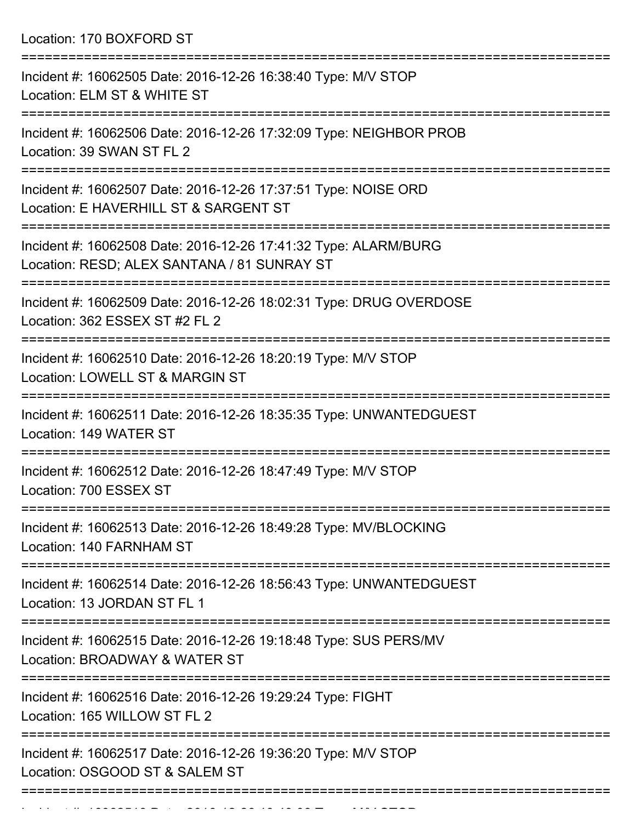Location: 170 BOXFORD ST

| Incident #: 16062505 Date: 2016-12-26 16:38:40 Type: M/V STOP<br>Location: ELM ST & WHITE ST                   |
|----------------------------------------------------------------------------------------------------------------|
| Incident #: 16062506 Date: 2016-12-26 17:32:09 Type: NEIGHBOR PROB<br>Location: 39 SWAN ST FL 2                |
| Incident #: 16062507 Date: 2016-12-26 17:37:51 Type: NOISE ORD<br>Location: E HAVERHILL ST & SARGENT ST        |
| Incident #: 16062508 Date: 2016-12-26 17:41:32 Type: ALARM/BURG<br>Location: RESD; ALEX SANTANA / 81 SUNRAY ST |
| Incident #: 16062509 Date: 2016-12-26 18:02:31 Type: DRUG OVERDOSE<br>Location: 362 ESSEX ST #2 FL 2           |
| Incident #: 16062510 Date: 2016-12-26 18:20:19 Type: M/V STOP<br>Location: LOWELL ST & MARGIN ST               |
| Incident #: 16062511 Date: 2016-12-26 18:35:35 Type: UNWANTEDGUEST<br>Location: 149 WATER ST                   |
| Incident #: 16062512 Date: 2016-12-26 18:47:49 Type: M/V STOP<br>Location: 700 ESSEX ST                        |
| Incident #: 16062513 Date: 2016-12-26 18:49:28 Type: MV/BLOCKING<br>Location: 140 FARNHAM ST                   |
| Incident #: 16062514 Date: 2016-12-26 18:56:43 Type: UNWANTEDGUEST<br>Location: 13 JORDAN ST FL 1              |
| Incident #: 16062515 Date: 2016-12-26 19:18:48 Type: SUS PERS/MV<br>Location: BROADWAY & WATER ST              |
| Incident #: 16062516 Date: 2016-12-26 19:29:24 Type: FIGHT<br>Location: 165 WILLOW ST FL 2                     |
| Incident #: 16062517 Date: 2016-12-26 19:36:20 Type: M/V STOP<br>Location: OSGOOD ST & SALEM ST                |
|                                                                                                                |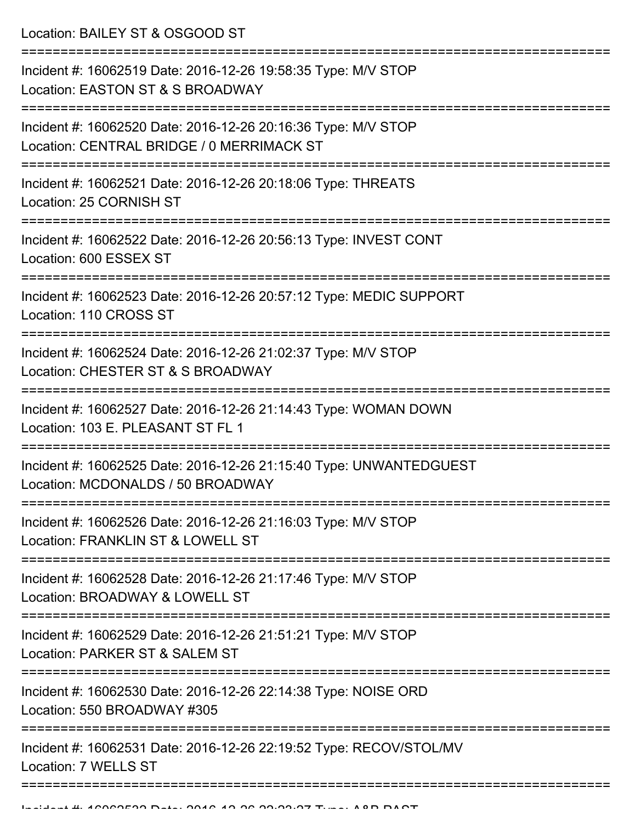Location: BAILEY ST & OSGOOD ST

| Incident #: 16062519 Date: 2016-12-26 19:58:35 Type: M/V STOP<br>Location: EASTON ST & S BROADWAY                              |
|--------------------------------------------------------------------------------------------------------------------------------|
| Incident #: 16062520 Date: 2016-12-26 20:16:36 Type: M/V STOP<br>Location: CENTRAL BRIDGE / 0 MERRIMACK ST                     |
| Incident #: 16062521 Date: 2016-12-26 20:18:06 Type: THREATS<br>Location: 25 CORNISH ST                                        |
| Incident #: 16062522 Date: 2016-12-26 20:56:13 Type: INVEST CONT<br>Location: 600 ESSEX ST                                     |
| Incident #: 16062523 Date: 2016-12-26 20:57:12 Type: MEDIC SUPPORT<br>Location: 110 CROSS ST                                   |
| Incident #: 16062524 Date: 2016-12-26 21:02:37 Type: M/V STOP<br>Location: CHESTER ST & S BROADWAY                             |
| Incident #: 16062527 Date: 2016-12-26 21:14:43 Type: WOMAN DOWN<br>Location: 103 E. PLEASANT ST FL 1                           |
| Incident #: 16062525 Date: 2016-12-26 21:15:40 Type: UNWANTEDGUEST<br>Location: MCDONALDS / 50 BROADWAY                        |
| Incident #: 16062526 Date: 2016-12-26 21:16:03 Type: M/V STOP<br>Location: FRANKLIN ST & LOWELL ST                             |
| Incident #: 16062528 Date: 2016-12-26 21:17:46 Type: M/V STOP<br>Location: BROADWAY & LOWELL ST                                |
| Incident #: 16062529 Date: 2016-12-26 21:51:21 Type: M/V STOP<br>Location: PARKER ST & SALEM ST                                |
| =============================<br>Incident #: 16062530 Date: 2016-12-26 22:14:38 Type: NOISE ORD<br>Location: 550 BROADWAY #305 |
| Incident #: 16062531 Date: 2016-12-26 22:19:52 Type: RECOV/STOL/MV<br>Location: 7 WELLS ST                                     |
|                                                                                                                                |